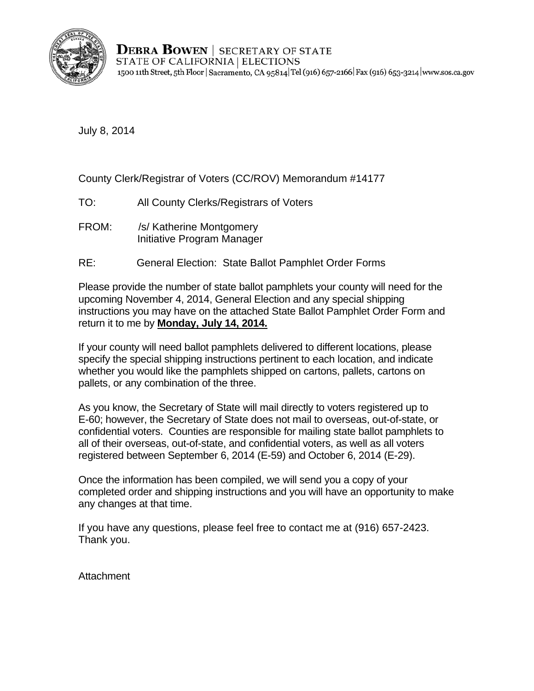

**DEBRA BOWEN** SECRETARY OF STATE STATE OF CALIFORNIA | ELECTIONS 1500 11th Street, 5th Floor | Sacramento, CA 95814 Tel (916) 657-2166 | Fax (916) 653-3214 | www.sos.ca.gov

July 8, 2014

County Clerk/Registrar of Voters (CC/ROV) Memorandum #14177

- TO: All County Clerks/Registrars of Voters
- FROM: /s/ Katherine Montgomery Initiative Program Manager
- RE: General Election: State Ballot Pamphlet Order Forms

Please provide the number of state ballot pamphlets your county will need for the upcoming November 4, 2014, General Election and any special shipping instructions you may have on the attached State Ballot Pamphlet Order Form and return it to me by **Monday, July 14, 2014.** 

If your county will need ballot pamphlets delivered to different locations, please specify the special shipping instructions pertinent to each location, and indicate whether you would like the pamphlets shipped on cartons, pallets, cartons on pallets, or any combination of the three.

As you know, the Secretary of State will mail directly to voters registered up to E-60; however, the Secretary of State does not mail to overseas, out-of-state, or confidential voters. Counties are responsible for mailing state ballot pamphlets to all of their overseas, out-of-state, and confidential voters, as well as all voters registered between September 6, 2014 (E-59) and October 6, 2014 (E-29).

Once the information has been compiled, we will send you a copy of your completed order and shipping instructions and you will have an opportunity to make any changes at that time.

If you have any questions, please feel free to contact me at (916) 657-2423. Thank you.

**Attachment**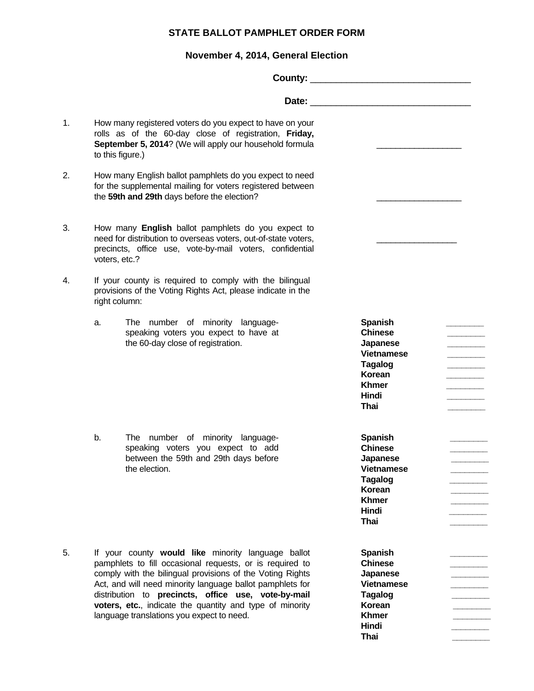## **STATE BALLOT PAMPHLET ORDER FORM**

## **November 4, 2014, General Election**

| 1. | to this figure.)                                                                                                                                                                                  | How many registered voters do you expect to have on your<br>rolls as of the 60-day close of registration, Friday,<br>September 5, 2014? (We will apply our household formula                                                                                                                                                                                                                             |                                                                                                                                |  |
|----|---------------------------------------------------------------------------------------------------------------------------------------------------------------------------------------------------|----------------------------------------------------------------------------------------------------------------------------------------------------------------------------------------------------------------------------------------------------------------------------------------------------------------------------------------------------------------------------------------------------------|--------------------------------------------------------------------------------------------------------------------------------|--|
| 2. |                                                                                                                                                                                                   | How many English ballot pamphlets do you expect to need<br>for the supplemental mailing for voters registered between<br>the 59th and 29th days before the election?                                                                                                                                                                                                                                     |                                                                                                                                |  |
| 3. | How many English ballot pamphlets do you expect to<br>need for distribution to overseas voters, out-of-state voters,<br>precincts, office use, vote-by-mail voters, confidential<br>voters, etc.? |                                                                                                                                                                                                                                                                                                                                                                                                          |                                                                                                                                |  |
| 4. | right column:                                                                                                                                                                                     | If your county is required to comply with the bilingual<br>provisions of the Voting Rights Act, please indicate in the                                                                                                                                                                                                                                                                                   |                                                                                                                                |  |
|    | a.                                                                                                                                                                                                | The number of minority language-<br>speaking voters you expect to have at<br>the 60-day close of registration.                                                                                                                                                                                                                                                                                           | <b>Spanish</b><br><b>Chinese</b><br>Japanese<br><b>Vietnamese</b><br><b>Tagalog</b><br>Korean<br><b>Khmer</b><br>Hindi<br>Thai |  |
|    | b.                                                                                                                                                                                                | The number of minority language-<br>speaking voters you expect to add<br>between the 59th and 29th days before<br>the election.                                                                                                                                                                                                                                                                          | <b>Spanish</b><br><b>Chinese</b><br>Japanese<br><b>Vietnamese</b><br><b>Tagalog</b><br>Korean<br><b>Khmer</b><br>Hindi<br>Thai |  |
| 5. |                                                                                                                                                                                                   | If your county would like minority language ballot<br>pamphlets to fill occasional requests, or is required to<br>comply with the bilingual provisions of the Voting Rights<br>Act, and will need minority language ballot pamphlets for<br>distribution to precincts, office use, vote-by-mail<br>voters, etc., indicate the quantity and type of minority<br>language translations you expect to need. | <b>Spanish</b><br><b>Chinese</b><br>Japanese<br><b>Vietnamese</b><br><b>Tagalog</b><br>Korean<br><b>Khmer</b><br>Hindi<br>Thai |  |